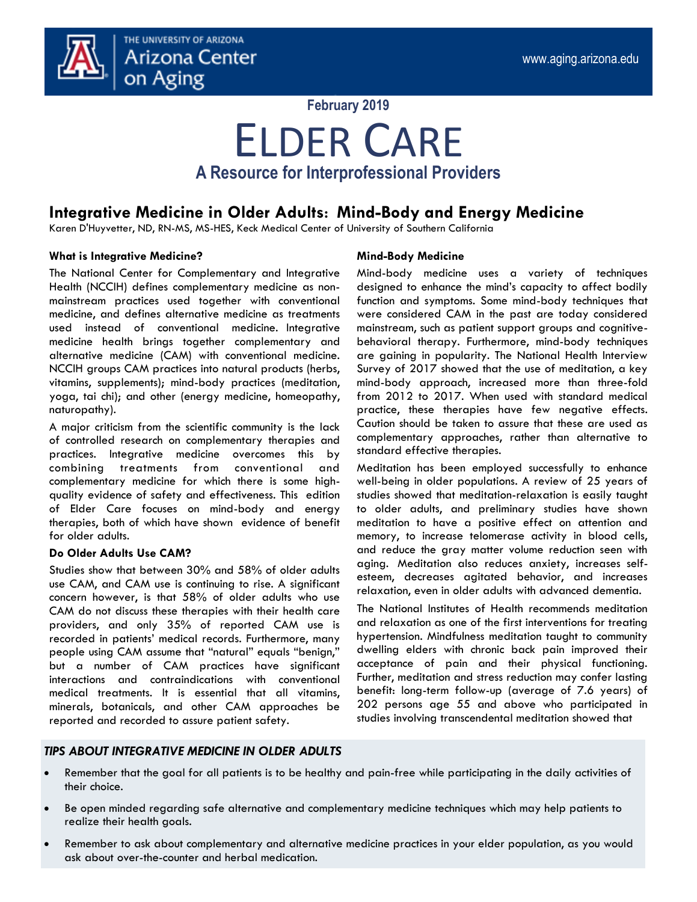

## **February 2019**

## ELDER CARE **A Resource for Interprofessional Providers**

## **Integrative Medicine in Older Adults: Mind-Body and Energy Medicine**

Karen D'Huyvetter, ND, RN-MS, MS-HES, Keck Medical Center of University of Southern California

## **What is Integrative Medicine?**

The National Center for Complementary and Integrative Health (NCCIH) defines complementary medicine as nonmainstream practices used together with conventional medicine, and defines alternative medicine as treatments used instead of conventional medicine. Integrative medicine health brings together complementary and alternative medicine (CAM) with conventional medicine. NCCIH groups CAM practices into natural products (herbs, vitamins, supplements); mind-body practices (meditation, yoga, tai chi); and other (energy medicine, homeopathy, naturopathy).

A major criticism from the scientific community is the lack of controlled research on complementary therapies and practices. Integrative medicine overcomes this by combining treatments from conventional and complementary medicine for which there is some highquality evidence of safety and effectiveness. This edition of Elder Care focuses on mind-body and energy therapies, both of which have shown evidence of benefit for older adults.

## **Do Older Adults Use CAM?**

Studies show that between 30% and 58% of older adults use CAM, and CAM use is continuing to rise. A significant concern however, is that 58% of older adults who use CAM do not discuss these therapies with their health care providers, and only 35% of reported CAM use is recorded in patients' medical records. Furthermore, many people using CAM assume that "natural" equals "benign," but a number of CAM practices have significant interactions and contraindications with conventional medical treatments. It is essential that all vitamins, minerals, botanicals, and other CAM approaches be reported and recorded to assure patient safety.

## **Mind-Body Medicine**

Mind-body medicine uses a variety of techniques designed to enhance the mind's capacity to affect bodily function and symptoms. Some mind-body techniques that were considered CAM in the past are today considered mainstream, such as patient support groups and cognitivebehavioral therapy. Furthermore, mind-body techniques are gaining in popularity. The National Health Interview Survey of 2017 showed that the use of meditation, a key mind-body approach, increased more than three-fold from 2012 to 2017. When used with standard medical practice, these therapies have few negative effects. Caution should be taken to assure that these are used as complementary approaches, rather than alternative to standard effective therapies.

Meditation has been employed successfully to enhance well-being in older populations. A review of 25 years of studies showed that meditation-relaxation is easily taught to older adults, and preliminary studies have shown meditation to have a positive effect on attention and memory, to increase telomerase activity in blood cells, and reduce the gray matter volume reduction seen with aging. Meditation also reduces anxiety, increases selfesteem, decreases agitated behavior, and increases relaxation, even in older adults with advanced dementia.

The National Institutes of Health recommends meditation and relaxation as one of the first interventions for treating hypertension. Mindfulness meditation taught to community dwelling elders with chronic back pain improved their acceptance of pain and their physical functioning. Further, meditation and stress reduction may confer lasting benefit: long-term follow-up (average of 7.6 years) of 202 persons age 55 and above who participated in studies involving transcendental meditation showed that

## *TIPS ABOUT INTEGRATIVE MEDICINE IN OLDER ADULTS*

- Remember that the goal for all patients is to be healthy and pain-free while participating in the daily activities of their choice.
- Be open minded regarding safe alternative and complementary medicine techniques which may help patients to realize their health goals.
- Remember to ask about complementary and alternative medicine practices in your elder population, as you would ask about over-the-counter and herbal medication.